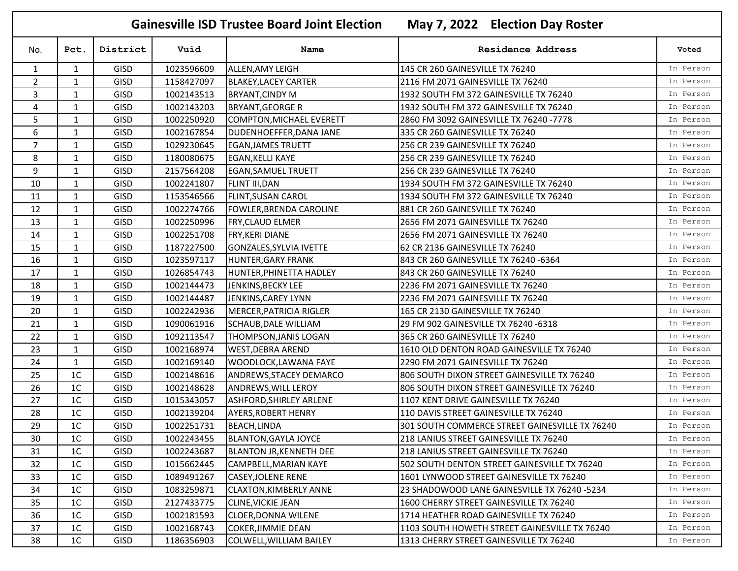| <b>Gainesville ISD Trustee Board Joint Election</b><br>May 7, 2022 Election Day Roster |                |             |            |                                |                                                |           |  |  |
|----------------------------------------------------------------------------------------|----------------|-------------|------------|--------------------------------|------------------------------------------------|-----------|--|--|
| No.                                                                                    | Pct.           | District    | Vuid       | Name                           | <b>Residence Address</b>                       | Voted     |  |  |
| $\mathbf{1}$                                                                           | $\mathbf{1}$   | <b>GISD</b> | 1023596609 | ALLEN, AMY LEIGH               | 145 CR 260 GAINESVILLE TX 76240                | In Person |  |  |
| $\overline{2}$                                                                         | $\mathbf{1}$   | <b>GISD</b> | 1158427097 | <b>BLAKEY, LACEY CARTER</b>    | 2116 FM 2071 GAINESVILLE TX 76240              | In Person |  |  |
| 3                                                                                      | 1              | <b>GISD</b> | 1002143513 | <b>BRYANT, CINDY M</b>         | 1932 SOUTH FM 372 GAINESVILLE TX 76240         | In Person |  |  |
| 4                                                                                      | $\mathbf{1}$   | <b>GISD</b> | 1002143203 | <b>BRYANT, GEORGE R</b>        | 1932 SOUTH FM 372 GAINESVILLE TX 76240         | In Person |  |  |
| 5                                                                                      | $\mathbf{1}$   | <b>GISD</b> | 1002250920 | COMPTON, MICHAEL EVERETT       | 2860 FM 3092 GAINESVILLE TX 76240 -7778        | In Person |  |  |
| 6                                                                                      | $\mathbf{1}$   | <b>GISD</b> | 1002167854 | DUDENHOEFFER, DANA JANE        | 335 CR 260 GAINESVILLE TX 76240                | In Person |  |  |
| $\overline{7}$                                                                         | $\mathbf{1}$   | <b>GISD</b> | 1029230645 | <b>EGAN, JAMES TRUETT</b>      | 256 CR 239 GAINESVILLE TX 76240                | In Person |  |  |
| 8                                                                                      | $\mathbf{1}$   | <b>GISD</b> | 1180080675 | EGAN, KELLI KAYE               | 256 CR 239 GAINESVILLE TX 76240                | In Person |  |  |
| 9                                                                                      | $\mathbf{1}$   | <b>GISD</b> | 2157564208 | <b>EGAN, SAMUEL TRUETT</b>     | 256 CR 239 GAINESVILLE TX 76240                | In Person |  |  |
| 10                                                                                     | $\mathbf{1}$   | <b>GISD</b> | 1002241807 | FLINT III, DAN                 | 1934 SOUTH FM 372 GAINESVILLE TX 76240         | In Person |  |  |
| 11                                                                                     | $\mathbf{1}$   | <b>GISD</b> | 1153546566 | <b>FLINT, SUSAN CAROL</b>      | 1934 SOUTH FM 372 GAINESVILLE TX 76240         | In Person |  |  |
| 12                                                                                     | $\mathbf{1}$   | <b>GISD</b> | 1002274766 | FOWLER, BRENDA CAROLINE        | 881 CR 260 GAINESVILLE TX 76240                | In Person |  |  |
| 13                                                                                     | $\mathbf{1}$   | <b>GISD</b> | 1002250996 | <b>FRY, CLAUD ELMER</b>        | 2656 FM 2071 GAINESVILLE TX 76240              | In Person |  |  |
| 14                                                                                     | 1              | <b>GISD</b> | 1002251708 | <b>FRY, KERI DIANE</b>         | 2656 FM 2071 GAINESVILLE TX 76240              | In Person |  |  |
| 15                                                                                     | $\mathbf{1}$   | <b>GISD</b> | 1187227500 | GONZALES, SYLVIA IVETTE        | 62 CR 2136 GAINESVILLE TX 76240                | In Person |  |  |
| 16                                                                                     | $\mathbf{1}$   | <b>GISD</b> | 1023597117 | <b>HUNTER, GARY FRANK</b>      | 843 CR 260 GAINESVILLE TX 76240 -6364          | In Person |  |  |
| 17                                                                                     | $\mathbf{1}$   | <b>GISD</b> | 1026854743 | HUNTER, PHINETTA HADLEY        | 843 CR 260 GAINESVILLE TX 76240                | In Person |  |  |
| 18                                                                                     | $\mathbf{1}$   | <b>GISD</b> | 1002144473 | JENKINS, BECKY LEE             | 2236 FM 2071 GAINESVILLE TX 76240              | In Person |  |  |
| 19                                                                                     | $\mathbf{1}$   | <b>GISD</b> | 1002144487 | JENKINS, CAREY LYNN            | 2236 FM 2071 GAINESVILLE TX 76240              | In Person |  |  |
| 20                                                                                     | $\mathbf{1}$   | <b>GISD</b> | 1002242936 | MERCER, PATRICIA RIGLER        | 165 CR 2130 GAINESVILLE TX 76240               | In Person |  |  |
| 21                                                                                     | 1              | <b>GISD</b> | 1090061916 | <b>SCHAUB, DALE WILLIAM</b>    | 29 FM 902 GAINESVILLE TX 76240 -6318           | In Person |  |  |
| 22                                                                                     | $\mathbf{1}$   | <b>GISD</b> | 1092113547 | THOMPSON, JANIS LOGAN          | 365 CR 260 GAINESVILLE TX 76240                | In Person |  |  |
| 23                                                                                     | $\mathbf{1}$   | <b>GISD</b> | 1002168974 | <b>WEST, DEBRA AREND</b>       | 1610 OLD DENTON ROAD GAINESVILLE TX 76240      | In Person |  |  |
| 24                                                                                     | $\mathbf{1}$   | <b>GISD</b> | 1002169140 | <b>WOODLOCK,LAWANA FAYE</b>    | 2290 FM 2071 GAINESVILLE TX 76240              | In Person |  |  |
| 25                                                                                     | 1 <sup>C</sup> | <b>GISD</b> | 1002148616 | ANDREWS, STACEY DEMARCO        | 806 SOUTH DIXON STREET GAINESVILLE TX 76240    | In Person |  |  |
| 26                                                                                     | 1 <sup>C</sup> | <b>GISD</b> | 1002148628 | <b>ANDREWS, WILL LEROY</b>     | 806 SOUTH DIXON STREET GAINESVILLE TX 76240    | In Person |  |  |
| 27                                                                                     | 1C             | <b>GISD</b> | 1015343057 | <b>ASHFORD, SHIRLEY ARLENE</b> | 1107 KENT DRIVE GAINESVILLE TX 76240           | In Person |  |  |
| 28                                                                                     | 1 <sup>C</sup> | <b>GISD</b> | 1002139204 | <b>AYERS, ROBERT HENRY</b>     | 110 DAVIS STREET GAINESVILLE TX 76240          | In Person |  |  |
| 29                                                                                     | 1 <sup>C</sup> | <b>GISD</b> | 1002251731 | <b>BEACH, LINDA</b>            | 301 SOUTH COMMERCE STREET GAINESVILLE TX 76240 | In Person |  |  |
| 30                                                                                     | 1 <sup>C</sup> | <b>GISD</b> | 1002243455 | <b>BLANTON, GAYLA JOYCE</b>    | 218 LANIUS STREET GAINESVILLE TX 76240         | In Person |  |  |
| 31                                                                                     | 1 <sup>C</sup> | <b>GISD</b> | 1002243687 | <b>BLANTON JR, KENNETH DEE</b> | 218 LANIUS STREET GAINESVILLE TX 76240         | In Person |  |  |
| 32                                                                                     | 1 <sup>C</sup> | <b>GISD</b> | 1015662445 | CAMPBELL, MARIAN KAYE          | 502 SOUTH DENTON STREET GAINESVILLE TX 76240   | In Person |  |  |
| 33                                                                                     | 1 <sup>C</sup> | <b>GISD</b> | 1089491267 | <b>CASEY, JOLENE RENE</b>      | 1601 LYNWOOD STREET GAINESVILLE TX 76240       | In Person |  |  |
| 34                                                                                     | 1 <sup>C</sup> | <b>GISD</b> | 1083259871 | CLAXTON, KIMBERLY ANNE         | 23 SHADOWOOD LANE GAINESVILLE TX 76240 -5234   | In Person |  |  |
| 35                                                                                     | 1 <sup>C</sup> | <b>GISD</b> | 2127433775 | <b>CLINE, VICKIE JEAN</b>      | 1600 CHERRY STREET GAINESVILLE TX 76240        | In Person |  |  |
| 36                                                                                     | 1 <sup>C</sup> | <b>GISD</b> | 1002181593 | <b>CLOER, DONNA WILENE</b>     | 1714 HEATHER ROAD GAINESVILLE TX 76240         | In Person |  |  |
| 37                                                                                     | 1 <sup>C</sup> | <b>GISD</b> | 1002168743 | <b>COKER, JIMMIE DEAN</b>      | 1103 SOUTH HOWETH STREET GAINESVILLE TX 76240  | In Person |  |  |
| 38                                                                                     | 1 <sup>C</sup> | GISD        | 1186356903 | COLWELL, WILLIAM BAILEY        | 1313 CHERRY STREET GAINESVILLE TX 76240        | In Person |  |  |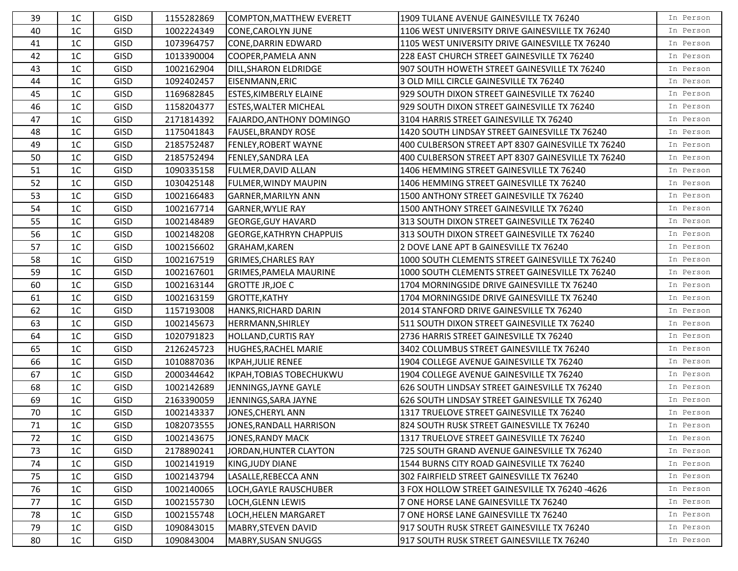| 39 | 1 <sup>C</sup> | <b>GISD</b> | 1155282869 | <b>COMPTON, MATTHEW EVERETT</b> | 1909 TULANE AVENUE GAINESVILLE TX 76240            | In Person |
|----|----------------|-------------|------------|---------------------------------|----------------------------------------------------|-----------|
| 40 | 1 <sup>C</sup> | <b>GISD</b> | 1002224349 | CONE, CAROLYN JUNE              | 1106 WEST UNIVERSITY DRIVE GAINESVILLE TX 76240    | In Person |
| 41 | 1 <sup>C</sup> | <b>GISD</b> | 1073964757 | <b>CONE, DARRIN EDWARD</b>      | 1105 WEST UNIVERSITY DRIVE GAINESVILLE TX 76240    | In Person |
| 42 | 1 <sup>C</sup> | GISD        | 1013390004 | COOPER, PAMELA ANN              | 228 EAST CHURCH STREET GAINESVILLE TX 76240        | In Person |
| 43 | 1 <sup>C</sup> | <b>GISD</b> | 1002162904 | DILL, SHARON ELDRIDGE           | 907 SOUTH HOWETH STREET GAINESVILLE TX 76240       | In Person |
| 44 | 1C             | <b>GISD</b> | 1092402457 | EISENMANN, ERIC                 | 3 OLD MILL CIRCLE GAINESVILLE TX 76240             | In Person |
| 45 | 1 <sup>C</sup> | <b>GISD</b> | 1169682845 | <b>ESTES, KIMBERLY ELAINE</b>   | 929 SOUTH DIXON STREET GAINESVILLE TX 76240        | In Person |
| 46 | 1 <sup>C</sup> | <b>GISD</b> | 1158204377 | <b>ESTES, WALTER MICHEAL</b>    | 929 SOUTH DIXON STREET GAINESVILLE TX 76240        | In Person |
| 47 | 1 <sup>C</sup> | <b>GISD</b> | 2171814392 | FAJARDO, ANTHONY DOMINGO        | 3104 HARRIS STREET GAINESVILLE TX 76240            | In Person |
| 48 | 1C             | <b>GISD</b> | 1175041843 | <b>FAUSEL, BRANDY ROSE</b>      | 1420 SOUTH LINDSAY STREET GAINESVILLE TX 76240     | In Person |
| 49 | 1 <sup>C</sup> | <b>GISD</b> | 2185752487 | FENLEY, ROBERT WAYNE            | 400 CULBERSON STREET APT 8307 GAINESVILLE TX 76240 | In Person |
| 50 | 1 <sup>C</sup> | GISD        | 2185752494 | FENLEY, SANDRA LEA              | 400 CULBERSON STREET APT 8307 GAINESVILLE TX 76240 | In Person |
| 51 | 1C             | GISD        | 1090335158 | FULMER, DAVID ALLAN             | 1406 HEMMING STREET GAINESVILLE TX 76240           | In Person |
| 52 | 1 <sup>C</sup> | <b>GISD</b> | 1030425148 | FULMER, WINDY MAUPIN            | 1406 HEMMING STREET GAINESVILLE TX 76240           | In Person |
| 53 | 1C             | <b>GISD</b> | 1002166483 | <b>GARNER, MARILYN ANN</b>      | 1500 ANTHONY STREET GAINESVILLE TX 76240           | In Person |
| 54 | 1 <sup>C</sup> | <b>GISD</b> | 1002167714 | <b>GARNER, WYLIE RAY</b>        | 1500 ANTHONY STREET GAINESVILLE TX 76240           | In Person |
| 55 | 1C             | <b>GISD</b> | 1002148489 | <b>GEORGE, GUY HAVARD</b>       | 313 SOUTH DIXON STREET GAINESVILLE TX 76240        | In Person |
| 56 | 1 <sup>C</sup> | <b>GISD</b> | 1002148208 | <b>GEORGE, KATHRYN CHAPPUIS</b> | 313 SOUTH DIXON STREET GAINESVILLE TX 76240        | In Person |
| 57 | 1 <sup>C</sup> | <b>GISD</b> | 1002156602 | GRAHAM, KAREN                   | 2 DOVE LANE APT B GAINESVILLE TX 76240             | In Person |
| 58 | 1 <sup>C</sup> | <b>GISD</b> | 1002167519 | <b>GRIMES, CHARLES RAY</b>      | 1000 SOUTH CLEMENTS STREET GAINESVILLE TX 76240    | In Person |
| 59 | 1C             | <b>GISD</b> | 1002167601 | <b>GRIMES, PAMELA MAURINE</b>   | 1000 SOUTH CLEMENTS STREET GAINESVILLE TX 76240    | In Person |
| 60 | 1C             | <b>GISD</b> | 1002163144 | <b>GROTTE JR, JOE C</b>         | 1704 MORNINGSIDE DRIVE GAINESVILLE TX 76240        | In Person |
| 61 | 1 <sup>C</sup> | <b>GISD</b> | 1002163159 | GROTTE, KATHY                   | 1704 MORNINGSIDE DRIVE GAINESVILLE TX 76240        | In Person |
| 62 | 1C             | <b>GISD</b> | 1157193008 | HANKS, RICHARD DARIN            | 2014 STANFORD DRIVE GAINESVILLE TX 76240           | In Person |
| 63 | 1 <sup>C</sup> | <b>GISD</b> | 1002145673 | HERRMANN, SHIRLEY               | 511 SOUTH DIXON STREET GAINESVILLE TX 76240        | In Person |
| 64 | 1 <sup>C</sup> | GISD        | 1020791823 | <b>HOLLAND, CURTIS RAY</b>      | 2736 HARRIS STREET GAINESVILLE TX 76240            | In Person |
| 65 | 1 <sup>C</sup> | <b>GISD</b> | 2126245723 | HUGHES, RACHEL MARIE            | 3402 COLUMBUS STREET GAINESVILLE TX 76240          | In Person |
| 66 | 1C             | GISD        | 1010887036 | <b>IKPAH, JULIE RENEE</b>       | 1904 COLLEGE AVENUE GAINESVILLE TX 76240           | In Person |
| 67 | 1 <sup>C</sup> | GISD        | 2000344642 | <b>IKPAH, TOBIAS TOBECHUKWU</b> | 1904 COLLEGE AVENUE GAINESVILLE TX 76240           | In Person |
| 68 | 1 <sup>C</sup> | <b>GISD</b> | 1002142689 | JENNINGS, JAYNE GAYLE           | 626 SOUTH LINDSAY STREET GAINESVILLE TX 76240      | In Person |
| 69 | 1 <sup>C</sup> | <b>GISD</b> | 2163390059 | JENNINGS, SARA JAYNE            | 626 SOUTH LINDSAY STREET GAINESVILLE TX 76240      | In Person |
| 70 | 1 <sup>C</sup> | <b>GISD</b> | 1002143337 | JONES, CHERYL ANN               | 1317 TRUELOVE STREET GAINESVILLE TX 76240          | In Person |
| 71 | 1C             | <b>GISD</b> | 1082073555 | JONES, RANDALL HARRISON         | 824 SOUTH RUSK STREET GAINESVILLE TX 76240         | In Person |
| 72 | 1 <sup>C</sup> | <b>GISD</b> | 1002143675 | JONES, RANDY MACK               | 1317 TRUELOVE STREET GAINESVILLE TX 76240          | In Person |
| 73 | 1C             | GISD        | 2178890241 | JORDAN, HUNTER CLAYTON          | 725 SOUTH GRAND AVENUE GAINESVILLE TX 76240        | In Person |
| 74 | 1 <sup>C</sup> | <b>GISD</b> | 1002141919 | KING, JUDY DIANE                | 1544 BURNS CITY ROAD GAINESVILLE TX 76240          | In Person |
| 75 | 1C             | <b>GISD</b> | 1002143794 | LASALLE, REBECCA ANN            | 302 FAIRFIELD STREET GAINESVILLE TX 76240          | In Person |
| 76 | 1 <sup>C</sup> | <b>GISD</b> | 1002140065 | LOCH, GAYLE RAUSCHUBER          | 3 FOX HOLLOW STREET GAINESVILLE TX 76240 -4626     | In Person |
| 77 | 1 <sup>C</sup> | <b>GISD</b> | 1002155730 | LOCH, GLENN LEWIS               | 7 ONE HORSE LANE GAINESVILLE TX 76240              | In Person |
| 78 | 1C             | <b>GISD</b> | 1002155748 | LOCH, HELEN MARGARET            | 7 ONE HORSE LANE GAINESVILLE TX 76240              | In Person |
| 79 | 1 <sup>C</sup> | <b>GISD</b> | 1090843015 | MABRY, STEVEN DAVID             | 917 SOUTH RUSK STREET GAINESVILLE TX 76240         | In Person |
| 80 | 1C             | GISD        | 1090843004 | <b>MABRY, SUSAN SNUGGS</b>      | 917 SOUTH RUSK STREET GAINESVILLE TX 76240         | In Person |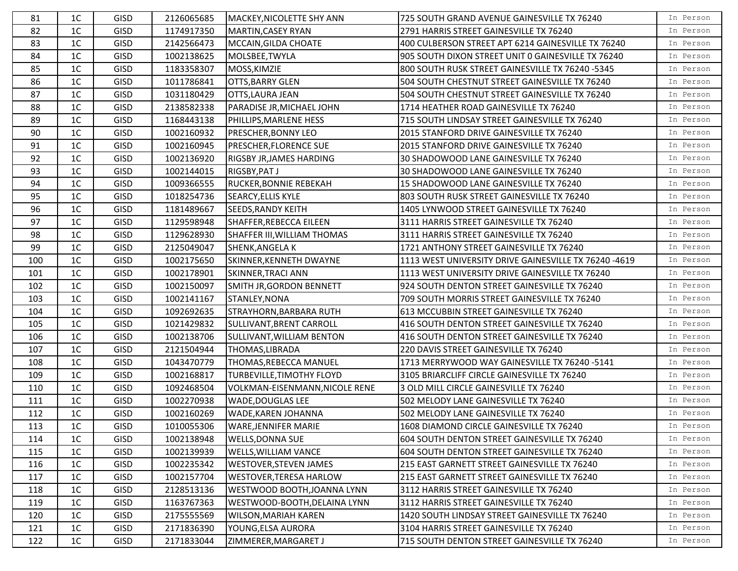| 81  | 1 <sup>C</sup> | <b>GISD</b> | 2126065685 | MACKEY, NICOLETTE SHY ANN      | 725 SOUTH GRAND AVENUE GAINESVILLE TX 76240           | In Person |
|-----|----------------|-------------|------------|--------------------------------|-------------------------------------------------------|-----------|
| 82  | 1 <sup>C</sup> | <b>GISD</b> | 1174917350 | MARTIN, CASEY RYAN             | 2791 HARRIS STREET GAINESVILLE TX 76240               | In Person |
| 83  | 1 <sup>C</sup> | <b>GISD</b> | 2142566473 | MCCAIN, GILDA CHOATE           | 400 CULBERSON STREET APT 6214 GAINESVILLE TX 76240    | In Person |
| 84  | 1 <sup>C</sup> | <b>GISD</b> | 1002138625 | MOLSBEE, TWYLA                 | 905 SOUTH DIXON STREET UNIT 0 GAINESVILLE TX 76240    | In Person |
| 85  | 1 <sup>C</sup> | <b>GISD</b> | 1183358307 | MOSS, KIMZIE                   | 800 SOUTH RUSK STREET GAINESVILLE TX 76240 -5345      | In Person |
| 86  | 1 <sup>C</sup> | GISD        | 1011786841 | OTTS, BARRY GLEN               | 504 SOUTH CHESTNUT STREET GAINESVILLE TX 76240        | In Person |
| 87  | 1 <sup>C</sup> | GISD        | 1031180429 | OTTS, LAURA JEAN               | 504 SOUTH CHESTNUT STREET GAINESVILLE TX 76240        | In Person |
| 88  | 1 <sup>C</sup> | GISD        | 2138582338 | PARADISE JR, MICHAEL JOHN      | 1714 HEATHER ROAD GAINESVILLE TX 76240                | In Person |
| 89  | 1 <sup>C</sup> | <b>GISD</b> | 1168443138 | PHILLIPS, MARLENE HESS         | 715 SOUTH LINDSAY STREET GAINESVILLE TX 76240         | In Person |
| 90  | 1 <sup>C</sup> | <b>GISD</b> | 1002160932 | PRESCHER, BONNY LEO            | 2015 STANFORD DRIVE GAINESVILLE TX 76240              | In Person |
| 91  | 1 <sup>C</sup> | GISD        | 1002160945 | PRESCHER, FLORENCE SUE         | 2015 STANFORD DRIVE GAINESVILLE TX 76240              | In Person |
| 92  | 1 <sup>C</sup> | <b>GISD</b> | 1002136920 | RIGSBY JR, JAMES HARDING       | 30 SHADOWOOD LANE GAINESVILLE TX 76240                | In Person |
| 93  | 1 <sup>C</sup> | GISD        | 1002144015 | RIGSBY, PAT J                  | 30 SHADOWOOD LANE GAINESVILLE TX 76240                | In Person |
| 94  | 1 <sup>C</sup> | <b>GISD</b> | 1009366555 | RUCKER, BONNIE REBEKAH         | 15 SHADOWOOD LANE GAINESVILLE TX 76240                | In Person |
| 95  | 1 <sup>C</sup> | GISD        | 1018254736 | SEARCY, ELLIS KYLE             | 803 SOUTH RUSK STREET GAINESVILLE TX 76240            | In Person |
| 96  | 1 <sup>C</sup> | <b>GISD</b> | 1181489667 | SEEDS, RANDY KEITH             | 1405 LYNWOOD STREET GAINESVILLE TX 76240              | In Person |
| 97  | 1 <sup>C</sup> | GISD        | 1129598948 | SHAFFER, REBECCA EILEEN        | 3111 HARRIS STREET GAINESVILLE TX 76240               | In Person |
| 98  | 1 <sup>C</sup> | <b>GISD</b> | 1129628930 | SHAFFER III, WILLIAM THOMAS    | 3111 HARRIS STREET GAINESVILLE TX 76240               | In Person |
| 99  | 1 <sup>C</sup> | <b>GISD</b> | 2125049047 | SHENK, ANGELA K                | 1721 ANTHONY STREET GAINESVILLE TX 76240              | In Person |
| 100 | 1 <sup>C</sup> | <b>GISD</b> | 1002175650 | SKINNER, KENNETH DWAYNE        | 1113 WEST UNIVERSITY DRIVE GAINESVILLE TX 76240 -4619 | In Person |
| 101 | 1 <sup>C</sup> | <b>GISD</b> | 1002178901 | <b>SKINNER, TRACI ANN</b>      | 1113 WEST UNIVERSITY DRIVE GAINESVILLE TX 76240       | In Person |
| 102 | 1 <sup>C</sup> | <b>GISD</b> | 1002150097 | SMITH JR, GORDON BENNETT       | 924 SOUTH DENTON STREET GAINESVILLE TX 76240          | In Person |
| 103 | 1 <sup>C</sup> | <b>GISD</b> | 1002141167 | STANLEY, NONA                  | 709 SOUTH MORRIS STREET GAINESVILLE TX 76240          | In Person |
| 104 | 1 <sup>C</sup> | <b>GISD</b> | 1092692635 | STRAYHORN, BARBARA RUTH        | 613 MCCUBBIN STREET GAINESVILLE TX 76240              | In Person |
| 105 | 1 <sup>C</sup> | <b>GISD</b> | 1021429832 | SULLIVANT, BRENT CARROLL       | 416 SOUTH DENTON STREET GAINESVILLE TX 76240          | In Person |
| 106 | 1 <sup>C</sup> | <b>GISD</b> | 1002138706 | SULLIVANT, WILLIAM BENTON      | 416 SOUTH DENTON STREET GAINESVILLE TX 76240          | In Person |
| 107 | 1 <sup>C</sup> | <b>GISD</b> | 2121504944 | THOMAS, LIBRADA                | 220 DAVIS STREET GAINESVILLE TX 76240                 | In Person |
| 108 | 1 <sup>C</sup> | <b>GISD</b> | 1043470779 | THOMAS, REBECCA MANUEL         | 1713 MERRYWOOD WAY GAINESVILLE TX 76240 -5141         | In Person |
| 109 | 1 <sup>C</sup> | <b>GISD</b> | 1002168817 | TURBEVILLE, TIMOTHY FLOYD      | 3105 BRIARCLIFF CIRCLE GAINESVILLE TX 76240           | In Person |
| 110 | 1 <sup>C</sup> | <b>GISD</b> | 1092468504 | VOLKMAN-EISENMANN, NICOLE RENE | 3 OLD MILL CIRCLE GAINESVILLE TX 76240                | In Person |
| 111 | 1 <sup>C</sup> | <b>GISD</b> | 1002270938 | WADE, DOUGLAS LEE              | 502 MELODY LANE GAINESVILLE TX 76240                  | In Person |
| 112 | 1 <sup>C</sup> | <b>GISD</b> | 1002160269 | WADE, KAREN JOHANNA            | 502 MELODY LANE GAINESVILLE TX 76240                  | In Person |
| 113 | 1 <sup>C</sup> | <b>GISD</b> | 1010055306 | <b>WARE, JENNIFER MARIE</b>    | 1608 DIAMOND CIRCLE GAINESVILLE TX 76240              | In Person |
| 114 | 1 <sup>C</sup> | <b>GISD</b> | 1002138948 | <b>WELLS, DONNA SUE</b>        | 604 SOUTH DENTON STREET GAINESVILLE TX 76240          | In Person |
| 115 | 1 <sup>C</sup> | <b>GISD</b> | 1002139939 | WELLS, WILLIAM VANCE           | 604 SOUTH DENTON STREET GAINESVILLE TX 76240          | In Person |
| 116 | 1 <sup>C</sup> | <b>GISD</b> | 1002235342 | WESTOVER, STEVEN JAMES         | 215 EAST GARNETT STREET GAINESVILLE TX 76240          | In Person |
| 117 | 1 <sup>C</sup> | <b>GISD</b> | 1002157704 | WESTOVER, TERESA HARLOW        | 215 EAST GARNETT STREET GAINESVILLE TX 76240          | In Person |
| 118 | 1 <sup>C</sup> | <b>GISD</b> | 2128513136 | WESTWOOD BOOTH, JOANNA LYNN    | 3112 HARRIS STREET GAINESVILLE TX 76240               | In Person |
| 119 | 1 <sup>C</sup> | <b>GISD</b> | 1163767363 | WESTWOOD-BOOTH, DELAINA LYNN   | 3112 HARRIS STREET GAINESVILLE TX 76240               | In Person |
| 120 | 1C             | <b>GISD</b> | 2175555569 | WILSON, MARIAH KAREN           | 1420 SOUTH LINDSAY STREET GAINESVILLE TX 76240        | In Person |
| 121 | 1 <sup>C</sup> | <b>GISD</b> | 2171836390 | YOUNG, ELSA AURORA             | 3104 HARRIS STREET GAINESVILLE TX 76240               | In Person |
| 122 | $1C$           | <b>GISD</b> | 2171833044 | ZIMMERER, MARGARET J           | 715 SOUTH DENTON STREET GAINESVILLE TX 76240          | In Person |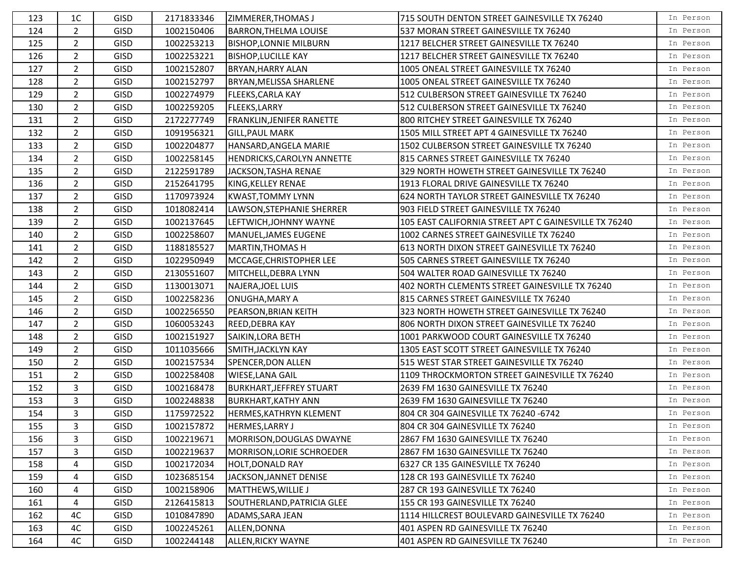| 123 | 1 <sup>C</sup> | <b>GISD</b> | 2171833346 | ZIMMERER, THOMAS J              | 715 SOUTH DENTON STREET GAINESVILLE TX 76240          | In Person |
|-----|----------------|-------------|------------|---------------------------------|-------------------------------------------------------|-----------|
| 124 | $\overline{2}$ | <b>GISD</b> | 1002150406 | <b>BARRON, THELMA LOUISE</b>    | 537 MORAN STREET GAINESVILLE TX 76240                 | In Person |
| 125 | $\overline{2}$ | <b>GISD</b> | 1002253213 | <b>BISHOP, LONNIE MILBURN</b>   | 1217 BELCHER STREET GAINESVILLE TX 76240              | In Person |
| 126 | $\overline{2}$ | <b>GISD</b> | 1002253221 | <b>BISHOP, LUCILLE KAY</b>      | 1217 BELCHER STREET GAINESVILLE TX 76240              | In Person |
| 127 | $\overline{2}$ | <b>GISD</b> | 1002152807 | <b>BRYAN, HARRY ALAN</b>        | 1005 ONEAL STREET GAINESVILLE TX 76240                | In Person |
| 128 | $\overline{2}$ | <b>GISD</b> | 1002152797 | BRYAN, MELISSA SHARLENE         | 1005 ONEAL STREET GAINESVILLE TX 76240                | In Person |
| 129 | $\overline{2}$ | <b>GISD</b> | 1002274979 | <b>FLEEKS, CARLA KAY</b>        | 512 CULBERSON STREET GAINESVILLE TX 76240             | In Person |
| 130 | $\overline{2}$ | <b>GISD</b> | 1002259205 | <b>FLEEKS, LARRY</b>            | 512 CULBERSON STREET GAINESVILLE TX 76240             | In Person |
| 131 | $\overline{2}$ | <b>GISD</b> | 2172277749 | FRANKLIN, JENIFER RANETTE       | 800 RITCHEY STREET GAINESVILLE TX 76240               | In Person |
| 132 | $\overline{2}$ | <b>GISD</b> | 1091956321 | <b>GILL, PAUL MARK</b>          | 1505 MILL STREET APT 4 GAINESVILLE TX 76240           | In Person |
| 133 | $\overline{2}$ | <b>GISD</b> | 1002204877 | HANSARD, ANGELA MARIE           | 1502 CULBERSON STREET GAINESVILLE TX 76240            | In Person |
| 134 | $\overline{2}$ | <b>GISD</b> | 1002258145 | HENDRICKS, CAROLYN ANNETTE      | 815 CARNES STREET GAINESVILLE TX 76240                | In Person |
| 135 | $\overline{2}$ | <b>GISD</b> | 2122591789 | JACKSON, TASHA RENAE            | 329 NORTH HOWETH STREET GAINESVILLE TX 76240          | In Person |
| 136 | $\overline{2}$ | <b>GISD</b> | 2152641795 | KING, KELLEY RENAE              | 1913 FLORAL DRIVE GAINESVILLE TX 76240                | In Person |
| 137 | $\overline{2}$ | <b>GISD</b> | 1170973924 | <b>KWAST, TOMMY LYNN</b>        | 624 NORTH TAYLOR STREET GAINESVILLE TX 76240          | In Person |
| 138 | $\overline{2}$ | <b>GISD</b> | 1018082414 | LAWSON, STEPHANIE SHERRER       | 903 FIELD STREET GAINESVILLE TX 76240                 | In Person |
| 139 | $\overline{2}$ | <b>GISD</b> | 1002137645 | LEFTWICH, JOHNNY WAYNE          | 105 EAST CALIFORNIA STREET APT C GAINESVILLE TX 76240 | In Person |
| 140 | $\overline{2}$ | <b>GISD</b> | 1002258607 | lMANUEL.JAMES EUGENE            | 1002 CARNES STREET GAINESVILLE TX 76240               | In Person |
| 141 | $\overline{2}$ | <b>GISD</b> | 1188185527 | <b>MARTIN, THOMAS H</b>         | 613 NORTH DIXON STREET GAINESVILLE TX 76240           | In Person |
| 142 | $\overline{2}$ | <b>GISD</b> | 1022950949 | MCCAGE, CHRISTOPHER LEE         | 505 CARNES STREET GAINESVILLE TX 76240                | In Person |
| 143 | $\overline{2}$ | <b>GISD</b> | 2130551607 | MITCHELL, DEBRA LYNN            | 504 WALTER ROAD GAINESVILLE TX 76240                  | In Person |
| 144 | $\overline{2}$ | <b>GISD</b> | 1130013071 | NAJERA, JOEL LUIS               | 402 NORTH CLEMENTS STREET GAINESVILLE TX 76240        | In Person |
| 145 | $\overline{2}$ | <b>GISD</b> | 1002258236 | ONUGHA, MARY A                  | 815 CARNES STREET GAINESVILLE TX 76240                | In Person |
| 146 | $\overline{2}$ | <b>GISD</b> | 1002256550 | PEARSON, BRIAN KEITH            | 323 NORTH HOWETH STREET GAINESVILLE TX 76240          | In Person |
| 147 | $\overline{2}$ | <b>GISD</b> | 1060053243 | <b>REED, DEBRA KAY</b>          | 806 NORTH DIXON STREET GAINESVILLE TX 76240           | In Person |
| 148 | $\overline{2}$ | <b>GISD</b> | 1002151927 | SAIKIN, LORA BETH               | 1001 PARKWOOD COURT GAINESVILLE TX 76240              | In Person |
| 149 | $\overline{2}$ | <b>GISD</b> | 1011035666 | SMITH, JACKLYN KAY              | 1305 EAST SCOTT STREET GAINESVILLE TX 76240           | In Person |
| 150 | $\overline{2}$ | <b>GISD</b> | 1002157534 | SPENCER, DON ALLEN              | 515 WEST STAR STREET GAINESVILLE TX 76240             | In Person |
| 151 | $\overline{2}$ | <b>GISD</b> | 1002258408 | <b>WIESE, LANA GAIL</b>         | 1109 THROCKMORTON STREET GAINESVILLE TX 76240         | In Person |
| 152 | 3              | <b>GISD</b> | 1002168478 | <b>BURKHART, JEFFREY STUART</b> | 2639 FM 1630 GAINESVILLE TX 76240                     | In Person |
| 153 | 3              | <b>GISD</b> | 1002248838 | <b>BURKHART, KATHY ANN</b>      | 2639 FM 1630 GAINESVILLE TX 76240                     | In Person |
| 154 | 3              | <b>GISD</b> | 1175972522 | HERMES, KATHRYN KLEMENT         | 804 CR 304 GAINESVILLE TX 76240 -6742                 | In Person |
| 155 | 3              | <b>GISD</b> | 1002157872 | <b>HERMES, LARRY J</b>          | 804 CR 304 GAINESVILLE TX 76240                       | In Person |
| 156 | 3              | <b>GISD</b> | 1002219671 | MORRISON, DOUGLAS DWAYNE        | 2867 FM 1630 GAINESVILLE TX 76240                     | In Person |
| 157 | 3              | <b>GISD</b> | 1002219637 | MORRISON, LORIE SCHROEDER       | 2867 FM 1630 GAINESVILLE TX 76240                     | In Person |
| 158 | 4              | <b>GISD</b> | 1002172034 | <b>HOLT, DONALD RAY</b>         | 6327 CR 135 GAINESVILLE TX 76240                      | In Person |
| 159 | 4              | <b>GISD</b> | 1023685154 | JACKSON, JANNET DENISE          | 128 CR 193 GAINESVILLE TX 76240                       | In Person |
| 160 | 4              | <b>GISD</b> | 1002158906 | MATTHEWS, WILLIE J              | 287 CR 193 GAINESVILLE TX 76240                       | In Person |
| 161 | 4              | <b>GISD</b> | 2126415813 | SOUTHERLAND, PATRICIA GLEE      | 155 CR 193 GAINESVILLE TX 76240                       | In Person |
| 162 | 4C             | <b>GISD</b> | 1010847890 | ADAMS, SARA JEAN                | 1114 HILLCREST BOULEVARD GAINESVILLE TX 76240         | In Person |
| 163 | 4C             | <b>GISD</b> | 1002245261 | ALLEN, DONNA                    | 401 ASPEN RD GAINESVILLE TX 76240                     | In Person |
| 164 | 4C             | <b>GISD</b> | 1002244148 | ALLEN, RICKY WAYNE              | 401 ASPEN RD GAINESVILLE TX 76240                     | In Person |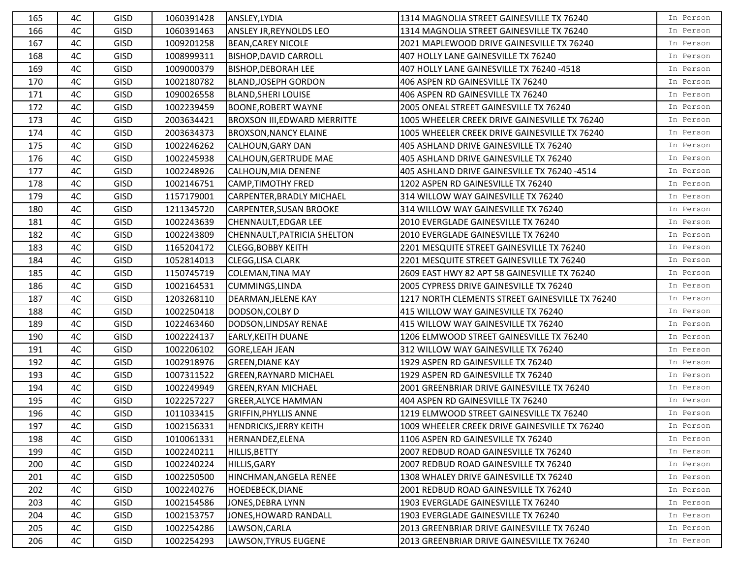| 165 | 4C | <b>GISD</b> | 1060391428 | ANSLEY, LYDIA                       | 1314 MAGNOLIA STREET GAINESVILLE TX 76240       | In Person |
|-----|----|-------------|------------|-------------------------------------|-------------------------------------------------|-----------|
| 166 | 4C | <b>GISD</b> | 1060391463 | <b>ANSLEY JR, REYNOLDS LEO</b>      | 1314 MAGNOLIA STREET GAINESVILLE TX 76240       | In Person |
| 167 | 4C | <b>GISD</b> | 1009201258 | <b>BEAN, CAREY NICOLE</b>           | 2021 MAPLEWOOD DRIVE GAINESVILLE TX 76240       | In Person |
| 168 | 4C | <b>GISD</b> | 1008999311 | <b>BISHOP, DAVID CARROLL</b>        | 407 HOLLY LANE GAINESVILLE TX 76240             | In Person |
| 169 | 4C | <b>GISD</b> | 1009000379 | <b>BISHOP, DEBORAH LEE</b>          | 407 HOLLY LANE GAINESVILLE TX 76240 -4518       | In Person |
| 170 | 4C | <b>GISD</b> | 1002180782 | <b>BLAND, JOSEPH GORDON</b>         | 406 ASPEN RD GAINESVILLE TX 76240               | In Person |
| 171 | 4C | <b>GISD</b> | 1090026558 | <b>BLAND, SHERI LOUISE</b>          | 406 ASPEN RD GAINESVILLE TX 76240               | In Person |
| 172 | 4C | GISD        | 1002239459 | <b>BOONE, ROBERT WAYNE</b>          | 2005 ONEAL STREET GAINESVILLE TX 76240          | In Person |
| 173 | 4C | <b>GISD</b> | 2003634421 | <b>BROXSON III, EDWARD MERRITTE</b> | 1005 WHEELER CREEK DRIVE GAINESVILLE TX 76240   | In Person |
| 174 | 4C | <b>GISD</b> | 2003634373 | <b>BROXSON, NANCY ELAINE</b>        | 1005 WHEELER CREEK DRIVE GAINESVILLE TX 76240   | In Person |
| 175 | 4C | <b>GISD</b> | 1002246262 | <b>CALHOUN, GARY DAN</b>            | 405 ASHLAND DRIVE GAINESVILLE TX 76240          | In Person |
| 176 | 4C | <b>GISD</b> | 1002245938 | CALHOUN, GERTRUDE MAE               | 405 ASHLAND DRIVE GAINESVILLE TX 76240          | In Person |
| 177 | 4C | <b>GISD</b> | 1002248926 | CALHOUN, MIA DENENE                 | 405 ASHLAND DRIVE GAINESVILLE TX 76240 -4514    | In Person |
| 178 | 4C | <b>GISD</b> | 1002146751 | CAMP,TIMOTHY FRED                   | 1202 ASPEN RD GAINESVILLE TX 76240              | In Person |
| 179 | 4C | <b>GISD</b> | 1157179001 | CARPENTER, BRADLY MICHAEL           | 314 WILLOW WAY GAINESVILLE TX 76240             | In Person |
| 180 | 4C | <b>GISD</b> | 1211345720 | <b>CARPENTER, SUSAN BROOKE</b>      | 314 WILLOW WAY GAINESVILLE TX 76240             | In Person |
| 181 | 4C | GISD        | 1002243639 | CHENNAULT, EDGAR LEE                | 2010 EVERGLADE GAINESVILLE TX 76240             | In Person |
| 182 | 4C | <b>GISD</b> | 1002243809 | CHENNAULT, PATRICIA SHELTON         | 2010 EVERGLADE GAINESVILLE TX 76240             | In Person |
| 183 | 4C | <b>GISD</b> | 1165204172 | <b>CLEGG, BOBBY KEITH</b>           | 2201 MESQUITE STREET GAINESVILLE TX 76240       | In Person |
| 184 | 4C | GISD        | 1052814013 | <b>CLEGG, LISA CLARK</b>            | 2201 MESQUITE STREET GAINESVILLE TX 76240       | In Person |
| 185 | 4C | <b>GISD</b> | 1150745719 | COLEMAN, TINA MAY                   | 2609 EAST HWY 82 APT 58 GAINESVILLE TX 76240    | In Person |
| 186 | 4C | <b>GISD</b> | 1002164531 | <b>CUMMINGS, LINDA</b>              | 2005 CYPRESS DRIVE GAINESVILLE TX 76240         | In Person |
| 187 | 4C | <b>GISD</b> | 1203268110 | DEARMAN, JELENE KAY                 | 1217 NORTH CLEMENTS STREET GAINESVILLE TX 76240 | In Person |
| 188 | 4C | GISD        | 1002250418 | DODSON, COLBY D                     | 415 WILLOW WAY GAINESVILLE TX 76240             | In Person |
| 189 | 4C | <b>GISD</b> | 1022463460 | DODSON, LINDSAY RENAE               | 415 WILLOW WAY GAINESVILLE TX 76240             | In Person |
| 190 | 4C | <b>GISD</b> | 1002224137 | <b>EARLY, KEITH DUANE</b>           | 1206 ELMWOOD STREET GAINESVILLE TX 76240        | In Person |
| 191 | 4C | <b>GISD</b> | 1002206102 | <b>GORE, LEAH JEAN</b>              | 312 WILLOW WAY GAINESVILLE TX 76240             | In Person |
| 192 | 4C | <b>GISD</b> | 1002918976 | <b>GREEN, DIANE KAY</b>             | 1929 ASPEN RD GAINESVILLE TX 76240              | In Person |
| 193 | 4C | <b>GISD</b> | 1007311522 | <b>GREEN, RAYNARD MICHAEL</b>       | 1929 ASPEN RD GAINESVILLE TX 76240              | In Person |
| 194 | 4C | <b>GISD</b> | 1002249949 | <b>GREEN, RYAN MICHAEL</b>          | 2001 GREENBRIAR DRIVE GAINESVILLE TX 76240      | In Person |
| 195 | 4C | <b>GISD</b> | 1022257227 | <b>GREER, ALYCE HAMMAN</b>          | 404 ASPEN RD GAINESVILLE TX 76240               | In Person |
| 196 | 4C | GISD        | 1011033415 | <b>GRIFFIN, PHYLLIS ANNE</b>        | 1219 ELMWOOD STREET GAINESVILLE TX 76240        | In Person |
| 197 | 4C | <b>GISD</b> | 1002156331 | HENDRICKS, JERRY KEITH              | 1009 WHEELER CREEK DRIVE GAINESVILLE TX 76240   | In Person |
| 198 | 4C | <b>GISD</b> | 1010061331 | HERNANDEZ, ELENA                    | 1106 ASPEN RD GAINESVILLE TX 76240              | In Person |
| 199 | 4C | GISD        | 1002240211 | <b>HILLIS, BETTY</b>                | 2007 REDBUD ROAD GAINESVILLE TX 76240           | In Person |
| 200 | 4C | <b>GISD</b> | 1002240224 | HILLIS, GARY                        | 2007 REDBUD ROAD GAINESVILLE TX 76240           | In Person |
| 201 | 4C | <b>GISD</b> | 1002250500 | HINCHMAN, ANGELA RENEE              | 1308 WHALEY DRIVE GAINESVILLE TX 76240          | In Person |
| 202 | 4C | <b>GISD</b> | 1002240276 | <b>HOEDEBECK, DIANE</b>             | 2001 REDBUD ROAD GAINESVILLE TX 76240           | In Person |
| 203 | 4C | <b>GISD</b> | 1002154586 | JONES, DEBRA LYNN                   | 1903 EVERGLADE GAINESVILLE TX 76240             | In Person |
| 204 | 4C | <b>GISD</b> | 1002153757 | JONES, HOWARD RANDALL               | 1903 EVERGLADE GAINESVILLE TX 76240             | In Person |
| 205 | 4C | <b>GISD</b> | 1002254286 | LAWSON, CARLA                       | 2013 GREENBRIAR DRIVE GAINESVILLE TX 76240      | In Person |
| 206 | 4C | <b>GISD</b> | 1002254293 | LAWSON, TYRUS EUGENE                | 2013 GREENBRIAR DRIVE GAINESVILLE TX 76240      | In Person |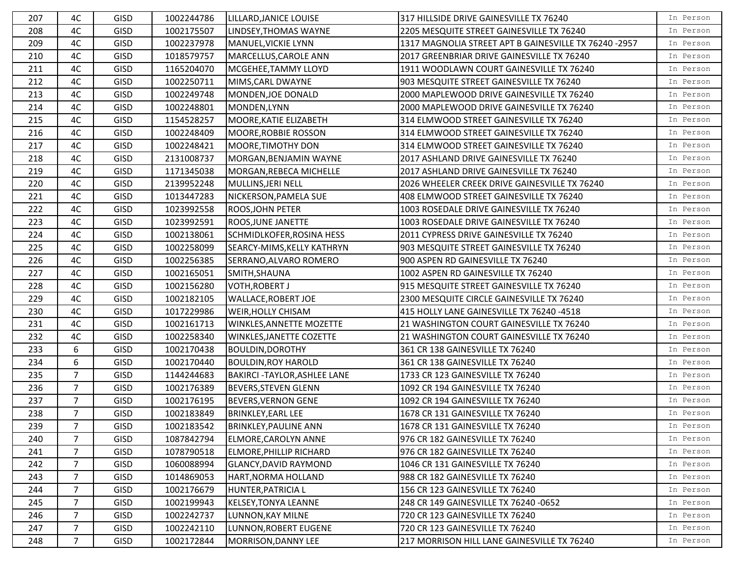| 207 | 4C             | <b>GISD</b> | 1002244786 | LILLARD, JANICE LOUISE             | 317 HILLSIDE DRIVE GAINESVILLE TX 76240               | In Person |
|-----|----------------|-------------|------------|------------------------------------|-------------------------------------------------------|-----------|
| 208 | 4C             | <b>GISD</b> | 1002175507 | LINDSEY, THOMAS WAYNE              | 2205 MESQUITE STREET GAINESVILLE TX 76240             | In Person |
| 209 | 4C             | GISD        | 1002237978 | MANUEL, VICKIE LYNN                | 1317 MAGNOLIA STREET APT B GAINESVILLE TX 76240 -2957 | In Person |
| 210 | 4C             | <b>GISD</b> | 1018579757 | MARCELLUS, CAROLE ANN              | 2017 GREENBRIAR DRIVE GAINESVILLE TX 76240            | In Person |
| 211 | 4C             | <b>GISD</b> | 1165204070 | MCGEHEE, TAMMY LLOYD               | 1911 WOODLAWN COURT GAINESVILLE TX 76240              | In Person |
| 212 | 4C             | GISD        | 1002250711 | MIMS, CARL DWAYNE                  | 903 MESQUITE STREET GAINESVILLE TX 76240              | In Person |
| 213 | 4C             | GISD        | 1002249748 | MONDEN, JOE DONALD                 | 2000 MAPLEWOOD DRIVE GAINESVILLE TX 76240             | In Person |
| 214 | 4C             | <b>GISD</b> | 1002248801 | MONDEN, LYNN                       | 2000 MAPLEWOOD DRIVE GAINESVILLE TX 76240             | In Person |
| 215 | 4C             | GISD        | 1154528257 | MOORE, KATIE ELIZABETH             | 314 ELMWOOD STREET GAINESVILLE TX 76240               | In Person |
| 216 | 4C             | GISD        | 1002248409 | MOORE, ROBBIE ROSSON               | 314 ELMWOOD STREET GAINESVILLE TX 76240               | In Person |
| 217 | 4C             | GISD        | 1002248421 | MOORE, TIMOTHY DON                 | 314 ELMWOOD STREET GAINESVILLE TX 76240               | In Person |
| 218 | 4C             | <b>GISD</b> | 2131008737 | MORGAN, BENJAMIN WAYNE             | 2017 ASHLAND DRIVE GAINESVILLE TX 76240               | In Person |
| 219 | 4C             | GISD        | 1171345038 | MORGAN, REBECA MICHELLE            | 2017 ASHLAND DRIVE GAINESVILLE TX 76240               | In Person |
| 220 | 4C             | <b>GISD</b> | 2139952248 | MULLINS, JERI NELL                 | 2026 WHEELER CREEK DRIVE GAINESVILLE TX 76240         | In Person |
| 221 | 4C             | GISD        | 1013447283 | NICKERSON, PAMELA SUE              | 408 ELMWOOD STREET GAINESVILLE TX 76240               | In Person |
| 222 | 4C             | <b>GISD</b> | 1023992558 | <b>ROOS, JOHN PETER</b>            | 1003 ROSEDALE DRIVE GAINESVILLE TX 76240              | In Person |
| 223 | 4C             | GISD        | 1023992591 | ROOS, JUNE JANETTE                 | 1003 ROSEDALE DRIVE GAINESVILLE TX 76240              | In Person |
| 224 | 4C             | GISD        | 1002138061 | <b>SCHMIDLKOFER, ROSINA HESS</b>   | 2011 CYPRESS DRIVE GAINESVILLE TX 76240               | In Person |
| 225 | 4C             | GISD        | 1002258099 | SEARCY-MIMS, KELLY KATHRYN         | 903 MESQUITE STREET GAINESVILLE TX 76240              | In Person |
| 226 | 4C             | GISD        | 1002256385 | SERRANO, ALVARO ROMERO             | 900 ASPEN RD GAINESVILLE TX 76240                     | In Person |
| 227 | 4C             | <b>GISD</b> | 1002165051 | SMITH, SHAUNA                      | 1002 ASPEN RD GAINESVILLE TX 76240                    | In Person |
| 228 | 4C             | GISD        | 1002156280 | <b>VOTH, ROBERT J</b>              | 915 MESQUITE STREET GAINESVILLE TX 76240              | In Person |
| 229 | 4C             | <b>GISD</b> | 1002182105 | <b>WALLACE, ROBERT JOE</b>         | 2300 MESQUITE CIRCLE GAINESVILLE TX 76240             | In Person |
| 230 | 4C             | GISD        | 1017229986 | WEIR, HOLLY CHISAM                 | 415 HOLLY LANE GAINESVILLE TX 76240 -4518             | In Person |
| 231 | 4C             | GISD        | 1002161713 | <b>WINKLES, ANNETTE MOZETTE</b>    | 21 WASHINGTON COURT GAINESVILLE TX 76240              | In Person |
| 232 | 4C             | <b>GISD</b> | 1002258340 | WINKLES, JANETTE COZETTE           | 21 WASHINGTON COURT GAINESVILLE TX 76240              | In Person |
| 233 | 6              | <b>GISD</b> | 1002170438 | <b>BOULDIN, DOROTHY</b>            | 361 CR 138 GAINESVILLE TX 76240                       | In Person |
| 234 | 6              | <b>GISD</b> | 1002170440 | <b>BOULDIN, ROY HAROLD</b>         | 361 CR 138 GAINESVILLE TX 76240                       | In Person |
| 235 | $\overline{7}$ | GISD        | 1144244683 | <b>BAKIRCI-TAYLOR, ASHLEE LANE</b> | 1733 CR 123 GAINESVILLE TX 76240                      | In Person |
| 236 | $\overline{7}$ | <b>GISD</b> | 1002176389 | <b>BEVERS, STEVEN GLENN</b>        | 1092 CR 194 GAINESVILLE TX 76240                      | In Person |
| 237 | $\overline{7}$ | GISD        | 1002176195 | <b>BEVERS, VERNON GENE</b>         | 1092 CR 194 GAINESVILLE TX 76240                      | In Person |
| 238 | $\overline{7}$ | GISD        | 1002183849 | <b>BRINKLEY, EARL LEE</b>          | 1678 CR 131 GAINESVILLE TX 76240                      | In Person |
| 239 | $\overline{7}$ | GISD        | 1002183542 | <b>BRINKLEY, PAULINE ANN</b>       | 1678 CR 131 GAINESVILLE TX 76240                      | In Person |
| 240 | 7              | <b>GISD</b> | 1087842794 | ELMORE, CAROLYN ANNE               | 976 CR 182 GAINESVILLE TX 76240                       | In Person |
| 241 | 7              | GISD        | 1078790518 | <b>ELMORE, PHILLIP RICHARD</b>     | 976 CR 182 GAINESVILLE TX 76240                       | In Person |
| 242 | 7              | GISD        | 1060088994 | <b>GLANCY, DAVID RAYMOND</b>       | 1046 CR 131 GAINESVILLE TX 76240                      | In Person |
| 243 | 7              | <b>GISD</b> | 1014869053 | HART, NORMA HOLLAND                | 988 CR 182 GAINESVILLE TX 76240                       | In Person |
| 244 | $\overline{7}$ | <b>GISD</b> | 1002176679 | HUNTER, PATRICIA L                 | 156 CR 123 GAINESVILLE TX 76240                       | In Person |
| 245 | $\overline{7}$ | <b>GISD</b> | 1002199943 | <b>KELSEY, TONYA LEANNE</b>        | 248 CR 149 GAINESVILLE TX 76240 -0652                 | In Person |
| 246 | $\overline{7}$ | <b>GISD</b> | 1002242737 | LUNNON, KAY MILNE                  | 720 CR 123 GAINESVILLE TX 76240                       | In Person |
| 247 | 7              | <b>GISD</b> | 1002242110 | LUNNON, ROBERT EUGENE              | 720 CR 123 GAINESVILLE TX 76240                       | In Person |
| 248 | $\overline{7}$ | <b>GISD</b> | 1002172844 | MORRISON, DANNY LEE                | 217 MORRISON HILL LANE GAINESVILLE TX 76240           | In Person |